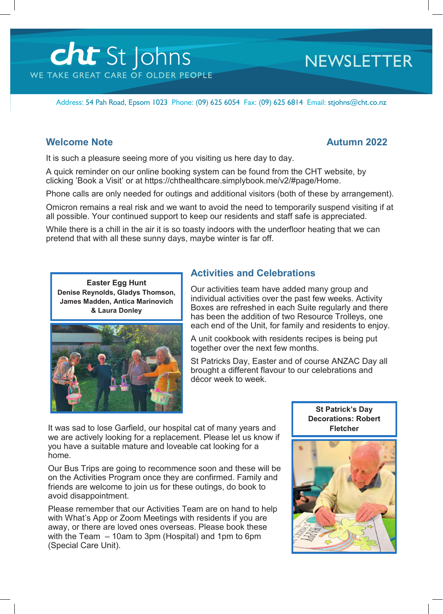# cht St Johns WE TAKE GREAT CARE OF OLDER PEOPLE

## **NEWSLETTER**

Address: 54 Pah Road, Epsom 1023 Phone: (09) 625 6054 Fax: (09) 625 6814 Email: stjohns@cht.co.nz

### **Welcome Note Autumn 2022**

It is such a pleasure seeing more of you visiting us here day to day.

A quick reminder on our online booking system can be found from the CHT website, by clicking 'Book a Visit' or at https://chthealthcare.simplybook.me/v2/#page/Home.

Phone calls are only needed for outings and additional visitors (both of these by arrangement).

Omicron remains a real risk and we want to avoid the need to temporarily suspend visiting if at all possible. Your continued support to keep our residents and staff safe is appreciated.

While there is a chill in the air it is so toasty indoors with the underfloor heating that we can pretend that with all these sunny days, maybe winter is far off.

**Easter Egg Hunt Denise Reynolds, Gladys Thomson, James Madden, Antica Marinovich & Laura Donley**



### **Activities and Celebrations**

Our activities team have added many group and individual activities over the past few weeks. Activity Boxes are refreshed in each Suite regularly and there has been the addition of two Resource Trolleys, one each end of the Unit, for family and residents to enjoy.

A unit cookbook with residents recipes is being put together over the next few months.

St Patricks Day, Easter and of course ANZAC Day all brought a different flavour to our celebrations and décor week to week.

It was sad to lose Garfield, our hospital cat of many years and we are actively looking for a replacement. Please let us know if you have a suitable mature and loveable cat looking for a home.

Our Bus Trips are going to recommence soon and these will be on the Activities Program once they are confirmed. Family and friends are welcome to join us for these outings, do book to avoid disappointment.

Please remember that our Activities Team are on hand to help with What's App or Zoom Meetings with residents if you are away, or there are loved ones overseas. Please book these with the Team – 10am to 3pm (Hospital) and 1pm to 6pm (Special Care Unit).



**St Patrick's Day Decorations: Robert**